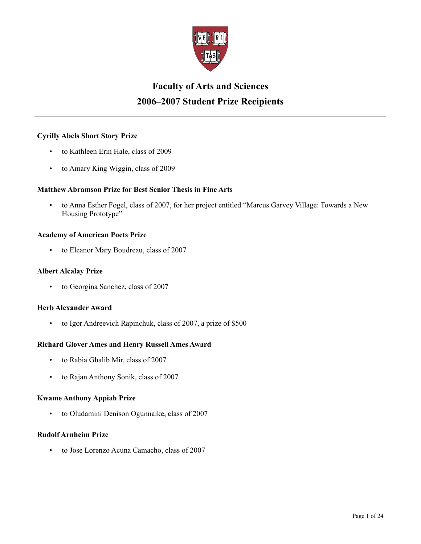

# **Faculty of Arts and Sciences 2006–2007 Student Prize Recipients**

### **Cyrilly Abels Short Story Prize**

- to Kathleen Erin Hale, class of 2009
- to Amary King Wiggin, class of 2009

### **Matthew Abramson Prize for Best Senior Thesis in Fine Arts**

• to Anna Esther Fogel, class of 2007, for her project entitled "Marcus Garvey Village: Towards a New Housing Prototype"

### **Academy of American Poets Prize**

• to Eleanor Mary Boudreau, class of 2007

### **Albert Alcalay Prize**

• to Georgina Sanchez, class of 2007

### **Herb Alexander Award**

• to Igor Andreevich Rapinchuk, class of 2007, a prize of \$500

### **Richard Glover Ames and Henry Russell Ames Award**

- to Rabia Ghalib Mir, class of 2007
- to Rajan Anthony Sonik, class of 2007

#### **Kwame Anthony Appiah Prize**

• to Oludamini Denison Ogunnaike, class of 2007

#### **Rudolf Arnheim Prize**

• to Jose Lorenzo Acuna Camacho, class of 2007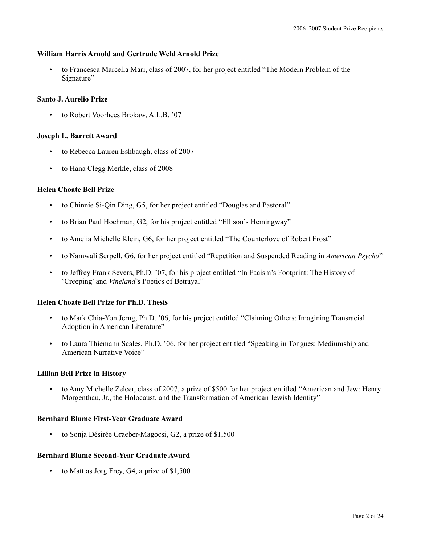### **William Harris Arnold and Gertrude Weld Arnold Prize**

• to Francesca Marcella Mari, class of 2007, for her project entitled "The Modern Problem of the Signature"

### **Santo J. Aurelio Prize**

• to Robert Voorhees Brokaw, A.L.B. '07

### **Joseph L. Barrett Award**

- to Rebecca Lauren Eshbaugh, class of 2007
- to Hana Clegg Merkle, class of 2008

### **Helen Choate Bell Prize**

- to Chinnie Si-Qin Ding, G5, for her project entitled "Douglas and Pastoral"
- to Brian Paul Hochman, G2, for his project entitled "Ellison's Hemingway"
- to Amelia Michelle Klein, G6, for her project entitled "The Counterlove of Robert Frost"
- to Namwali Serpell, G6, for her project entitled "Repetition and Suspended Reading in *American Psycho*"
- to Jeffrey Frank Severs, Ph.D. '07, for his project entitled "In Facism's Footprint: The History of 'Creeping' and *Vineland*'s Poetics of Betrayal"

### **Helen Choate Bell Prize for Ph.D. Thesis**

- to Mark Chia-Yon Jerng, Ph.D. '06, for his project entitled "Claiming Others: Imagining Transracial Adoption in American Literature"
- to Laura Thiemann Scales, Ph.D. '06, for her project entitled "Speaking in Tongues: Mediumship and American Narrative Voice"

### **Lillian Bell Prize in History**

• to Amy Michelle Zelcer, class of 2007, a prize of \$500 for her project entitled "American and Jew: Henry Morgenthau, Jr., the Holocaust, and the Transformation of American Jewish Identity"

### **Bernhard Blume First-Year Graduate Award**

• to Sonja Désirée Graeber-Magocsi, G2, a prize of \$1,500

### **Bernhard Blume Second-Year Graduate Award**

to Mattias Jorg Frey, G4, a prize of \$1,500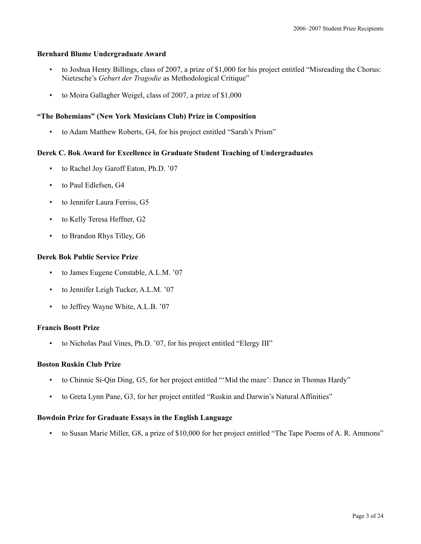### **Bernhard Blume Undergraduate Award**

- to Joshua Henry Billings, class of 2007, a prize of \$1,000 for his project entitled "Misreading the Chorus: Nietzsche's *Geburt der Tragodie* as Methodological Critique"
- to Moira Gallagher Weigel, class of 2007, a prize of \$1,000

### **"The Bohemians" (New York Musicians Club) Prize in Composition**

• to Adam Matthew Roberts, G4, for his project entitled "Sarah's Prism"

### **Derek C. Bok Award for Excellence in Graduate Student Teaching of Undergraduates**

- to Rachel Joy Garoff Eaton, Ph.D. '07
- to Paul Edlefsen, G4
- to Jennifer Laura Ferriss, G5
- to Kelly Teresa Heffner, G2
- to Brandon Rhys Tilley, G6

### **Derek Bok Public Service Prize**

- to James Eugene Constable, A.L.M. '07
- to Jennifer Leigh Tucker, A.L.M. '07
- to Jeffrey Wayne White, A.L.B. '07

### **Francis Boott Prize**

• to Nicholas Paul Vines, Ph.D. '07, for his project entitled "Elergy III"

### **Boston Ruskin Club Prize**

- to Chinnie Si-Qin Ding, G5, for her project entitled "'Mid the maze': Dance in Thomas Hardy"
- to Greta Lynn Pane, G3, for her project entitled "Ruskin and Darwin's Natural Affinities"

### **Bowdoin Prize for Graduate Essays in the English Language**

• to Susan Marie Miller, G8, a prize of \$10,000 for her project entitled "The Tape Poems of A. R. Ammons"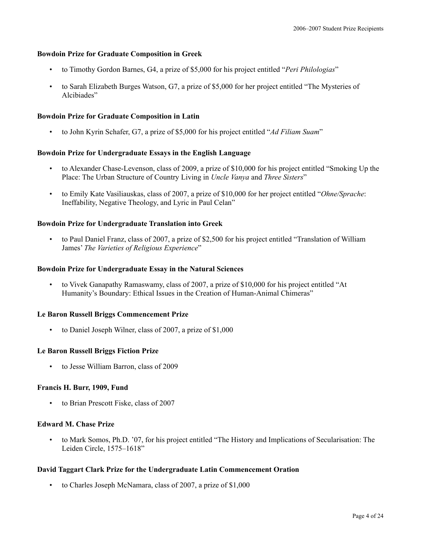### **Bowdoin Prize for Graduate Composition in Greek**

- to Timothy Gordon Barnes, G4, a prize of \$5,000 for his project entitled "*Peri Philologias*"
- to Sarah Elizabeth Burges Watson, G7, a prize of \$5,000 for her project entitled "The Mysteries of Alcibiades"

#### **Bowdoin Prize for Graduate Composition in Latin**

• to John Kyrin Schafer, G7, a prize of \$5,000 for his project entitled "*Ad Filiam Suam*"

### **Bowdoin Prize for Undergraduate Essays in the English Language**

- to Alexander Chase-Levenson, class of 2009, a prize of \$10,000 for his project entitled "Smoking Up the Place: The Urban Structure of Country Living in *Uncle Vanya* and *Three Sisters*"
- to Emily Kate Vasiliauskas, class of 2007, a prize of \$10,000 for her project entitled "*Ohne/Sprache*: Ineffability, Negative Theology, and Lyric in Paul Celan"

### **Bowdoin Prize for Undergraduate Translation into Greek**

• to Paul Daniel Franz, class of 2007, a prize of \$2,500 for his project entitled "Translation of William James' *The Varieties of Religious Experience*"

### **Bowdoin Prize for Undergraduate Essay in the Natural Sciences**

• to Vivek Ganapathy Ramaswamy, class of 2007, a prize of \$10,000 for his project entitled "At Humanity's Boundary: Ethical Issues in the Creation of Human-Animal Chimeras"

#### **Le Baron Russell Briggs Commencement Prize**

• to Daniel Joseph Wilner, class of 2007, a prize of \$1,000

#### **Le Baron Russell Briggs Fiction Prize**

• to Jesse William Barron, class of 2009

#### **Francis H. Burr, 1909, Fund**

• to Brian Prescott Fiske, class of 2007

### **Edward M. Chase Prize**

• to Mark Somos, Ph.D. '07, for his project entitled "The History and Implications of Secularisation: The Leiden Circle, 1575–1618"

#### **David Taggart Clark Prize for the Undergraduate Latin Commencement Oration**

• to Charles Joseph McNamara, class of 2007, a prize of \$1,000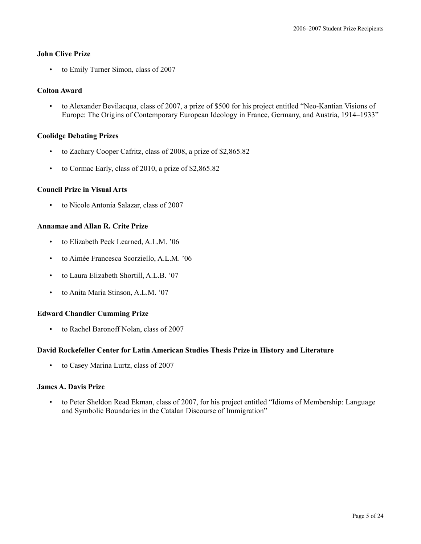### **John Clive Prize**

• to Emily Turner Simon, class of 2007

### **Colton Award**

• to Alexander Bevilacqua, class of 2007, a prize of \$500 for his project entitled "Neo-Kantian Visions of Europe: The Origins of Contemporary European Ideology in France, Germany, and Austria, 1914–1933"

### **Coolidge Debating Prizes**

- to Zachary Cooper Cafritz, class of 2008, a prize of \$2,865.82
- to Cormac Early, class of 2010, a prize of \$2,865.82

### **Council Prize in Visual Arts**

• to Nicole Antonia Salazar, class of 2007

### **Annamae and Allan R. Crite Prize**

- to Elizabeth Peck Learned, A.L.M. '06
- to Aimée Francesca Scorziello, A.L.M. '06
- to Laura Elizabeth Shortill, A.L.B. '07
- to Anita Maria Stinson, A.L.M. '07

### **Edward Chandler Cumming Prize**

• to Rachel Baronoff Nolan, class of 2007

#### **David Rockefeller Center for Latin American Studies Thesis Prize in History and Literature**

• to Casey Marina Lurtz, class of 2007

#### **James A. Davis Prize**

• to Peter Sheldon Read Ekman, class of 2007, for his project entitled "Idioms of Membership: Language and Symbolic Boundaries in the Catalan Discourse of Immigration"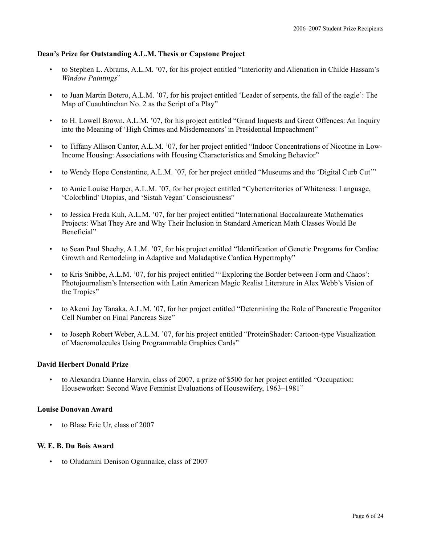### **Dean's Prize for Outstanding A.L.M. Thesis or Capstone Project**

- to Stephen L. Abrams, A.L.M. '07, for his project entitled "Interiority and Alienation in Childe Hassam's *Window Paintings*"
- to Juan Martin Botero, A.L.M. '07, for his project entitled 'Leader of serpents, the fall of the eagle': The Map of Cuauhtinchan No. 2 as the Script of a Play"
- to H. Lowell Brown, A.L.M. '07, for his project entitled "Grand Inquests and Great Offences: An Inquiry into the Meaning of 'High Crimes and Misdemeanors' in Presidential Impeachment"
- to Tiffany Allison Cantor, A.L.M. '07, for her project entitled "Indoor Concentrations of Nicotine in Low-Income Housing: Associations with Housing Characteristics and Smoking Behavior"
- to Wendy Hope Constantine, A.L.M. '07, for her project entitled "Museums and the 'Digital Curb Cut'"
- to Amie Louise Harper, A.L.M. '07, for her project entitled "Cyberterritories of Whiteness: Language, 'Colorblind' Utopias, and 'Sistah Vegan' Consciousness"
- to Jessica Freda Kuh, A.L.M. '07, for her project entitled "International Baccalaureate Mathematics Projects: What They Are and Why Their Inclusion in Standard American Math Classes Would Be Beneficial"
- to Sean Paul Sheehy, A.L.M. '07, for his project entitled "Identification of Genetic Programs for Cardiac Growth and Remodeling in Adaptive and Maladaptive Cardica Hypertrophy"
- to Kris Snibbe, A.L.M. '07, for his project entitled "'Exploring the Border between Form and Chaos': Photojournalism's Intersection with Latin American Magic Realist Literature in Alex Webb's Vision of the Tropics"
- to Akemi Joy Tanaka, A.L.M. '07, for her project entitled "Determining the Role of Pancreatic Progenitor Cell Number on Final Pancreas Size"
- to Joseph Robert Weber, A.L.M. '07, for his project entitled "ProteinShader: Cartoon-type Visualization of Macromolecules Using Programmable Graphics Cards"

### **David Herbert Donald Prize**

• to Alexandra Dianne Harwin, class of 2007, a prize of \$500 for her project entitled "Occupation: Houseworker: Second Wave Feminist Evaluations of Housewifery, 1963–1981"

### **Louise Donovan Award**

• to Blase Eric Ur, class of 2007

### **W. E. B. Du Bois Award**

• to Oludamini Denison Ogunnaike, class of 2007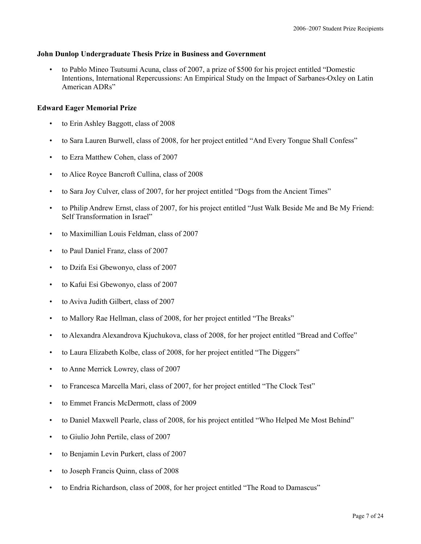### **John Dunlop Undergraduate Thesis Prize in Business and Government**

• to Pablo Mineo Tsutsumi Acuna, class of 2007, a prize of \$500 for his project entitled "Domestic Intentions, International Repercussions: An Empirical Study on the Impact of Sarbanes-Oxley on Latin American ADRs"

### **Edward Eager Memorial Prize**

- to Erin Ashley Baggott, class of 2008
- to Sara Lauren Burwell, class of 2008, for her project entitled "And Every Tongue Shall Confess"
- to Ezra Matthew Cohen, class of 2007
- to Alice Royce Bancroft Cullina, class of 2008
- to Sara Joy Culver, class of 2007, for her project entitled "Dogs from the Ancient Times"
- to Philip Andrew Ernst, class of 2007, for his project entitled "Just Walk Beside Me and Be My Friend: Self Transformation in Israel"
- to Maximillian Louis Feldman, class of 2007
- to Paul Daniel Franz, class of 2007
- to Dzifa Esi Gbewonyo, class of 2007
- to Kafui Esi Gbewonyo, class of 2007
- to Aviva Judith Gilbert, class of 2007
- to Mallory Rae Hellman, class of 2008, for her project entitled "The Breaks"
- to Alexandra Alexandrova Kjuchukova, class of 2008, for her project entitled "Bread and Coffee"
- to Laura Elizabeth Kolbe, class of 2008, for her project entitled "The Diggers"
- to Anne Merrick Lowrey, class of 2007
- to Francesca Marcella Mari, class of 2007, for her project entitled "The Clock Test"
- to Emmet Francis McDermott, class of 2009
- to Daniel Maxwell Pearle, class of 2008, for his project entitled "Who Helped Me Most Behind"
- to Giulio John Pertile, class of 2007
- to Benjamin Levin Purkert, class of 2007
- to Joseph Francis Quinn, class of 2008
- to Endria Richardson, class of 2008, for her project entitled "The Road to Damascus"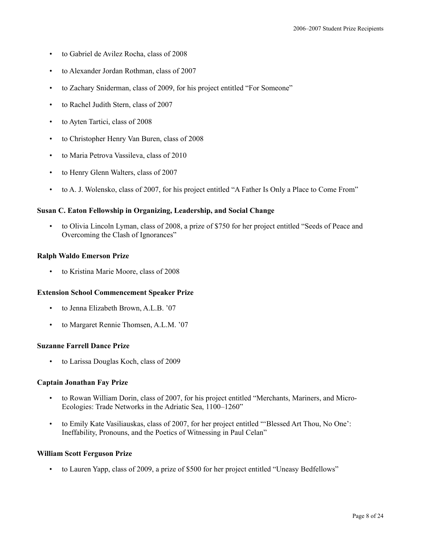- to Gabriel de Avilez Rocha, class of 2008
- to Alexander Jordan Rothman, class of 2007
- to Zachary Sniderman, class of 2009, for his project entitled "For Someone"
- to Rachel Judith Stern, class of 2007
- to Ayten Tartici, class of 2008
- to Christopher Henry Van Buren, class of 2008
- to Maria Petrova Vassileva, class of 2010
- to Henry Glenn Walters, class of 2007
- to A. J. Wolensko, class of 2007, for his project entitled "A Father Is Only a Place to Come From"

#### **Susan C. Eaton Fellowship in Organizing, Leadership, and Social Change**

• to Olivia Lincoln Lyman, class of 2008, a prize of \$750 for her project entitled "Seeds of Peace and Overcoming the Clash of Ignorances"

#### **Ralph Waldo Emerson Prize**

to Kristina Marie Moore, class of 2008

#### **Extension School Commencement Speaker Prize**

- to Jenna Elizabeth Brown, A.L.B. '07
- to Margaret Rennie Thomsen, A.L.M. '07

#### **Suzanne Farrell Dance Prize**

• to Larissa Douglas Koch, class of 2009

#### **Captain Jonathan Fay Prize**

- to Rowan William Dorin, class of 2007, for his project entitled "Merchants, Mariners, and Micro-Ecologies: Trade Networks in the Adriatic Sea, 1100–1260"
- to Emily Kate Vasiliauskas, class of 2007, for her project entitled "'Blessed Art Thou, No One': Ineffability, Pronouns, and the Poetics of Witnessing in Paul Celan"

#### **William Scott Ferguson Prize**

• to Lauren Yapp, class of 2009, a prize of \$500 for her project entitled "Uneasy Bedfellows"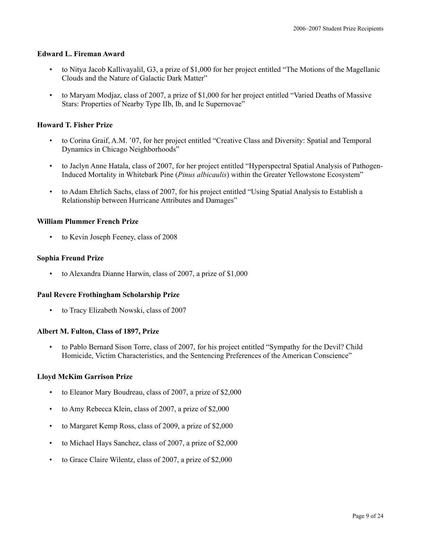### **Edward L. Fireman Award**

- to Nitya Jacob Kallivayalil, G3, a prize of \$1,000 for her project entitled "The Motions of the Magellanic Clouds and the Nature of Galactic Dark Matter"
- to Maryam Modjaz, class of 2007, a prize of \$1,000 for her project entitled "Varied Deaths of Massive Stars: Properties of Nearby Type IIb, Ib, and Ic Supernovae"

### **Howard T. Fisher Prize**

- to Corina Graif, A.M. '07, for her project entitled "Creative Class and Diversity: Spatial and Temporal Dynamics in Chicago Neighborhoods"
- to Jaclyn Anne Hatala, class of 2007, for her project entitled "Hyperspectral Spatial Analysis of Pathogen-Induced Mortality in Whitebark Pine (*Pinus albicaulis*) within the Greater Yellowstone Ecosystem"
- to Adam Ehrlich Sachs, class of 2007, for his project entitled "Using Spatial Analysis to Establish a Relationship between Hurricane Attributes and Damages"

#### **William Plummer French Prize**

• to Kevin Joseph Feeney, class of 2008

#### **Sophia Freund Prize**

• to Alexandra Dianne Harwin, class of 2007, a prize of \$1,000

#### **Paul Revere Frothingham Scholarship Prize**

• to Tracy Elizabeth Nowski, class of 2007

#### **Albert M. Fulton, Class of 1897, Prize**

• to Pablo Bernard Sison Torre, class of 2007, for his project entitled "Sympathy for the Devil? Child Homicide, Victim Characteristics, and the Sentencing Preferences of the American Conscience"

#### **Lloyd McKim Garrison Prize**

- to Eleanor Mary Boudreau, class of 2007, a prize of \$2,000
- to Amy Rebecca Klein, class of 2007, a prize of \$2,000
- to Margaret Kemp Ross, class of 2009, a prize of \$2,000
- to Michael Hays Sanchez, class of 2007, a prize of \$2,000
- to Grace Claire Wilentz, class of 2007, a prize of \$2,000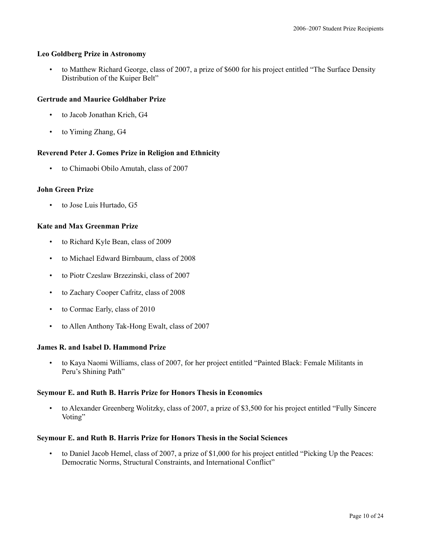### **Leo Goldberg Prize in Astronomy**

• to Matthew Richard George, class of 2007, a prize of \$600 for his project entitled "The Surface Density Distribution of the Kuiper Belt"

### **Gertrude and Maurice Goldhaber Prize**

- to Jacob Jonathan Krich, G4
- to Yiming Zhang, G4

### **Reverend Peter J. Gomes Prize in Religion and Ethnicity**

• to Chimaobi Obilo Amutah, class of 2007

### **John Green Prize**

to Jose Luis Hurtado, G5

### **Kate and Max Greenman Prize**

- to Richard Kyle Bean, class of 2009
- to Michael Edward Birnbaum, class of 2008
- to Piotr Czeslaw Brzezinski, class of 2007
- to Zachary Cooper Cafritz, class of 2008
- to Cormac Early, class of 2010
- to Allen Anthony Tak-Hong Ewalt, class of 2007

### **James R. and Isabel D. Hammond Prize**

• to Kaya Naomi Williams, class of 2007, for her project entitled "Painted Black: Female Militants in Peru's Shining Path"

### **Seymour E. and Ruth B. Harris Prize for Honors Thesis in Economics**

• to Alexander Greenberg Wolitzky, class of 2007, a prize of \$3,500 for his project entitled "Fully Sincere Voting"

### **Seymour E. and Ruth B. Harris Prize for Honors Thesis in the Social Sciences**

• to Daniel Jacob Hemel, class of 2007, a prize of \$1,000 for his project entitled "Picking Up the Peaces: Democratic Norms, Structural Constraints, and International Conflict"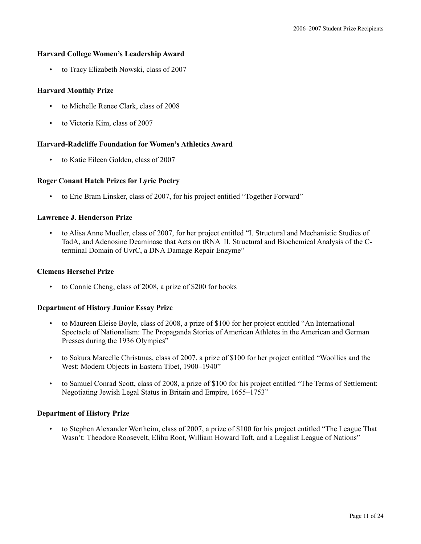### **Harvard College Women's Leadership Award**

• to Tracy Elizabeth Nowski, class of 2007

### **Harvard Monthly Prize**

- to Michelle Renee Clark, class of 2008
- to Victoria Kim, class of 2007

### **Harvard-Radcliffe Foundation for Women's Athletics Award**

• to Katie Eileen Golden, class of 2007

### **Roger Conant Hatch Prizes for Lyric Poetry**

• to Eric Bram Linsker, class of 2007, for his project entitled "Together Forward"

### **Lawrence J. Henderson Prize**

• to Alisa Anne Mueller, class of 2007, for her project entitled "I. Structural and Mechanistic Studies of TadA, and Adenosine Deaminase that Acts on tRNA II. Structural and Biochemical Analysis of the Cterminal Domain of UvrC, a DNA Damage Repair Enzyme"

### **Clemens Herschel Prize**

• to Connie Cheng, class of 2008, a prize of \$200 for books

### **Department of History Junior Essay Prize**

- to Maureen Eleise Boyle, class of 2008, a prize of \$100 for her project entitled "An International Spectacle of Nationalism: The Propaganda Stories of American Athletes in the American and German Presses during the 1936 Olympics"
- to Sakura Marcelle Christmas, class of 2007, a prize of \$100 for her project entitled "Woollies and the West: Modern Objects in Eastern Tibet, 1900–1940"
- to Samuel Conrad Scott, class of 2008, a prize of \$100 for his project entitled "The Terms of Settlement: Negotiating Jewish Legal Status in Britain and Empire, 1655–1753"

### **Department of History Prize**

• to Stephen Alexander Wertheim, class of 2007, a prize of \$100 for his project entitled "The League That Wasn't: Theodore Roosevelt, Elihu Root, William Howard Taft, and a Legalist League of Nations"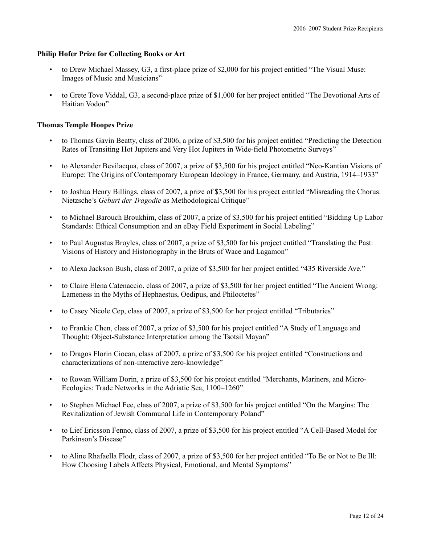### **Philip Hofer Prize for Collecting Books or Art**

- to Drew Michael Massey, G3, a first-place prize of \$2,000 for his project entitled "The Visual Muse: Images of Music and Musicians"
- to Grete Tove Viddal, G3, a second-place prize of \$1,000 for her project entitled "The Devotional Arts of Haitian Vodou"

### **Thomas Temple Hoopes Prize**

- to Thomas Gavin Beatty, class of 2006, a prize of \$3,500 for his project entitled "Predicting the Detection Rates of Transiting Hot Jupiters and Very Hot Jupiters in Wide-field Photometric Surveys"
- to Alexander Bevilacqua, class of 2007, a prize of \$3,500 for his project entitled "Neo-Kantian Visions of Europe: The Origins of Contemporary European Ideology in France, Germany, and Austria, 1914–1933"
- to Joshua Henry Billings, class of 2007, a prize of \$3,500 for his project entitled "Misreading the Chorus: Nietzsche's *Geburt der Tragodie* as Methodological Critique"
- to Michael Barouch Broukhim, class of 2007, a prize of \$3,500 for his project entitled "Bidding Up Labor Standards: Ethical Consumption and an eBay Field Experiment in Social Labeling"
- to Paul Augustus Broyles, class of 2007, a prize of \$3,500 for his project entitled "Translating the Past: Visions of History and Historiography in the Bruts of Wace and Lagamon"
- to Alexa Jackson Bush, class of 2007, a prize of \$3,500 for her project entitled "435 Riverside Ave."
- to Claire Elena Catenaccio, class of 2007, a prize of \$3,500 for her project entitled "The Ancient Wrong: Lameness in the Myths of Hephaestus, Oedipus, and Philoctetes"
- to Casey Nicole Cep, class of 2007, a prize of \$3,500 for her project entitled "Tributaries"
- to Frankie Chen, class of 2007, a prize of \$3,500 for his project entitled "A Study of Language and Thought: Object-Substance Interpretation among the Tsotsil Mayan"
- to Dragos Florin Ciocan, class of 2007, a prize of \$3,500 for his project entitled "Constructions and characterizations of non-interactive zero-knowledge"
- to Rowan William Dorin, a prize of \$3,500 for his project entitled "Merchants, Mariners, and Micro-Ecologies: Trade Networks in the Adriatic Sea, 1100–1260"
- to Stephen Michael Fee, class of 2007, a prize of \$3,500 for his project entitled "On the Margins: The Revitalization of Jewish Communal Life in Contemporary Poland"
- to Lief Ericsson Fenno, class of 2007, a prize of \$3,500 for his project entitled "A Cell-Based Model for Parkinson's Disease"
- to Aline Rhafaella Flodr, class of 2007, a prize of \$3,500 for her project entitled "To Be or Not to Be Ill: How Choosing Labels Affects Physical, Emotional, and Mental Symptoms"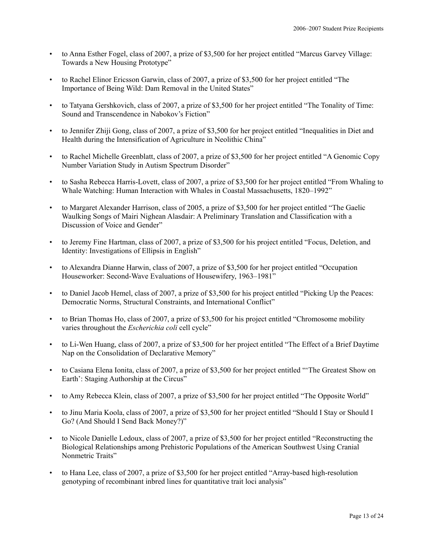- to Anna Esther Fogel, class of 2007, a prize of \$3,500 for her project entitled "Marcus Garvey Village: Towards a New Housing Prototype"
- to Rachel Elinor Ericsson Garwin, class of 2007, a prize of \$3,500 for her project entitled "The Importance of Being Wild: Dam Removal in the United States"
- to Tatyana Gershkovich, class of 2007, a prize of \$3,500 for her project entitled "The Tonality of Time: Sound and Transcendence in Nabokov's Fiction"
- to Jennifer Zhiji Gong, class of 2007, a prize of \$3,500 for her project entitled "Inequalities in Diet and Health during the Intensification of Agriculture in Neolithic China"
- to Rachel Michelle Greenblatt, class of 2007, a prize of \$3,500 for her project entitled "A Genomic Copy Number Variation Study in Autism Spectrum Disorder"
- to Sasha Rebecca Harris-Lovett, class of 2007, a prize of \$3,500 for her project entitled "From Whaling to Whale Watching: Human Interaction with Whales in Coastal Massachusetts, 1820–1992"
- to Margaret Alexander Harrison, class of 2005, a prize of \$3,500 for her project entitled "The Gaelic Waulking Songs of Mairi Nighean Alasdair: A Preliminary Translation and Classification with a Discussion of Voice and Gender"
- to Jeremy Fine Hartman, class of 2007, a prize of \$3,500 for his project entitled "Focus, Deletion, and Identity: Investigations of Ellipsis in English"
- to Alexandra Dianne Harwin, class of 2007, a prize of \$3,500 for her project entitled "Occupation Houseworker: Second-Wave Evaluations of Housewifery, 1963–1981"
- to Daniel Jacob Hemel, class of 2007, a prize of \$3,500 for his project entitled "Picking Up the Peaces: Democratic Norms, Structural Constraints, and International Conflict"
- to Brian Thomas Ho, class of 2007, a prize of \$3,500 for his project entitled "Chromosome mobility varies throughout the *Escherichia coli* cell cycle"
- to Li-Wen Huang, class of 2007, a prize of \$3,500 for her project entitled "The Effect of a Brief Daytime Nap on the Consolidation of Declarative Memory"
- to Casiana Elena Ionita, class of 2007, a prize of \$3,500 for her project entitled "'The Greatest Show on Earth': Staging Authorship at the Circus<sup>"</sup>
- to Amy Rebecca Klein, class of 2007, a prize of \$3,500 for her project entitled "The Opposite World"
- to Jinu Maria Koola, class of 2007, a prize of \$3,500 for her project entitled "Should I Stay or Should I Go? (And Should I Send Back Money?)"
- to Nicole Danielle Ledoux, class of 2007, a prize of \$3,500 for her project entitled "Reconstructing the Biological Relationships among Prehistoric Populations of the American Southwest Using Cranial Nonmetric Traits"
- to Hana Lee, class of 2007, a prize of \$3,500 for her project entitled "Array-based high-resolution genotyping of recombinant inbred lines for quantitative trait loci analysis"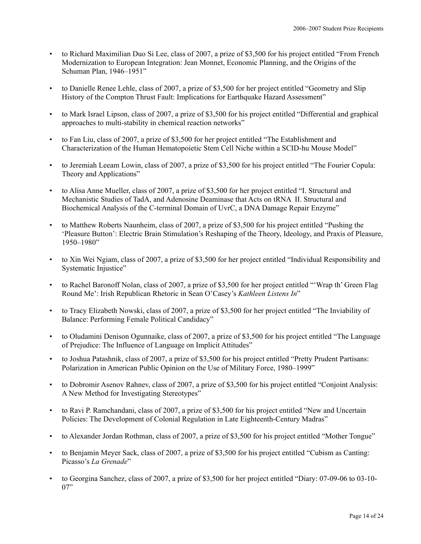- to Richard Maximilian Duo Si Lee, class of 2007, a prize of \$3,500 for his project entitled "From French Modernization to European Integration: Jean Monnet, Economic Planning, and the Origins of the Schuman Plan, 1946–1951"
- to Danielle Renee Lehle, class of 2007, a prize of \$3,500 for her project entitled "Geometry and Slip History of the Compton Thrust Fault: Implications for Earthquake Hazard Assessment"
- to Mark Israel Lipson, class of 2007, a prize of \$3,500 for his project entitled "Differential and graphical approaches to multi-stability in chemical reaction networks"
- to Fan Liu, class of 2007, a prize of \$3,500 for her project entitled "The Establishment and Characterization of the Human Hematopoietic Stem Cell Niche within a SCID-hu Mouse Model"
- to Jeremiah Leeam Lowin, class of 2007, a prize of \$3,500 for his project entitled "The Fourier Copula: Theory and Applications"
- to Alisa Anne Mueller, class of 2007, a prize of \$3,500 for her project entitled "I. Structural and Mechanistic Studies of TadA, and Adenosine Deaminase that Acts on tRNA II. Structural and Biochemical Analysis of the C-terminal Domain of UvrC, a DNA Damage Repair Enzyme"
- to Matthew Roberts Naunheim, class of 2007, a prize of \$3,500 for his project entitled "Pushing the 'Pleasure Button': Electric Brain Stimulation's Reshaping of the Theory, Ideology, and Praxis of Pleasure, 1950–1980"
- to Xin Wei Ngiam, class of 2007, a prize of \$3,500 for her project entitled "Individual Responsibility and Systematic Injustice"
- to Rachel Baronoff Nolan, class of 2007, a prize of \$3,500 for her project entitled "'Wrap th' Green Flag Round Me': Irish Republican Rhetoric in Sean O'Casey's *Kathleen Listens In*"
- to Tracy Elizabeth Nowski, class of 2007, a prize of \$3,500 for her project entitled "The Inviability of Balance: Performing Female Political Candidacy"
- to Oludamini Denison Ogunnaike, class of 2007, a prize of \$3,500 for his project entitled "The Language of Prejudice: The Influence of Language on Implicit Attitudes"
- to Joshua Patashnik, class of 2007, a prize of \$3,500 for his project entitled "Pretty Prudent Partisans: Polarization in American Public Opinion on the Use of Military Force, 1980–1999"
- to Dobromir Asenov Rahnev, class of 2007, a prize of \$3,500 for his project entitled "Conjoint Analysis: A New Method for Investigating Stereotypes"
- to Ravi P. Ramchandani, class of 2007, a prize of \$3,500 for his project entitled "New and Uncertain Policies: The Development of Colonial Regulation in Late Eighteenth-Century Madras"
- to Alexander Jordan Rothman, class of 2007, a prize of \$3,500 for his project entitled "Mother Tongue"
- to Benjamin Meyer Sack, class of 2007, a prize of \$3,500 for his project entitled "Cubism as Canting: Picasso's *La Grenade*"
- to Georgina Sanchez, class of 2007, a prize of \$3,500 for her project entitled "Diary: 07-09-06 to 03-10- 07"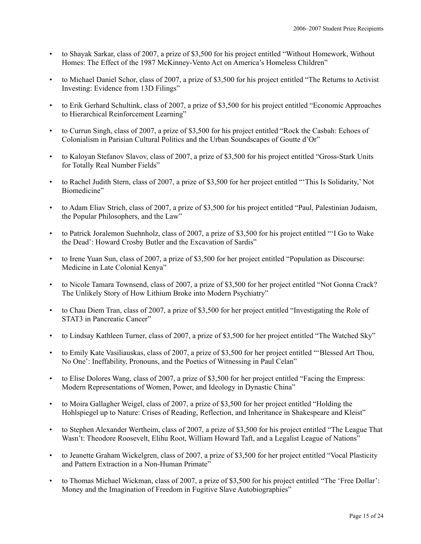- to Shayak Sarkar, class of 2007, a prize of \$3,500 for his project entitled "Without Homework, Without Homes: The Effect of the 1987 McKinney-Vento Act on America's Homeless Children"
- to Michael Daniel Schor, class of 2007, a prize of \$3,500 for his project entitled "The Returns to Activist Investing: Evidence from 13D Filings"
- to Erik Gerhard Schultink, class of 2007, a prize of \$3,500 for his project entitled "Economic Approaches to Hierarchical Reinforcement Learning"
- to Currun Singh, class of 2007, a prize of \$3,500 for his project entitled "Rock the Casbah: Echoes of Colonialism in Parisian Cultural Politics and the Urban Soundscapes of Goutte d'Or"
- to Kaloyan Stefanov Slavov, class of 2007, a prize of \$3,500 for his project entitled "Gross-Stark Units for Totally Real Number Fields"
- to Rachel Judith Stern, class of 2007, a prize of \$3,500 for her project entitled "'This Is Solidarity,' Not Biomedicine"
- to Adam Eliav Strich, class of 2007, a prize of \$3,500 for his project entitled "Paul, Palestinian Judaism, the Popular Philosophers, and the Law"
- to Patrick Joralemon Suehnholz, class of 2007, a prize of \$3,500 for his project entitled "I Go to Wake the Dead': Howard Crosby Butler and the Excavation of Sardis"
- to Irene Yuan Sun, class of 2007, a prize of \$3,500 for her project entitled "Population as Discourse: Medicine in Late Colonial Kenya"
- to Nicole Tamara Townsend, class of 2007, a prize of \$3,500 for her project entitled "Not Gonna Crack? The Unlikely Story of How Lithium Broke into Modern Psychiatry"
- to Chau Diem Tran, class of 2007, a prize of \$3,500 for her project entitled "Investigating the Role of STAT3 in Pancreatic Cancer"
- to Lindsay Kathleen Turner, class of 2007, a prize of \$3,500 for her project entitled "The Watched Sky"
- to Emily Kate Vasiliauskas, class of 2007, a prize of \$3,500 for her project entitled "'Blessed Art Thou, No One': Ineffability, Pronouns, and the Poetics of Witnessing in Paul Celan"
- to Elise Dolores Wang, class of 2007, a prize of \$3,500 for her project entitled "Facing the Empress: Modern Representations of Women, Power, and Ideology in Dynastic China"
- to Moira Gallagher Weigel, class of 2007, a prize of \$3,500 for her project entitled "Holding the Hohlspiegel up to Nature: Crises of Reading, Reflection, and Inheritance in Shakespeare and Kleist"
- to Stephen Alexander Wertheim, class of 2007, a prize of \$3,500 for his project entitled "The League That Wasn't: Theodore Roosevelt, Elihu Root, William Howard Taft, and a Legalist League of Nations"
- to Jeanette Graham Wickelgren, class of 2007, a prize of \$3,500 for her project entitled "Vocal Plasticity and Pattern Extraction in a Non-Human Primate"
- to Thomas Michael Wickman, class of 2007, a prize of \$3,500 for his project entitled "The 'Free Dollar': Money and the Imagination of Freedom in Fugitive Slave Autobiographies"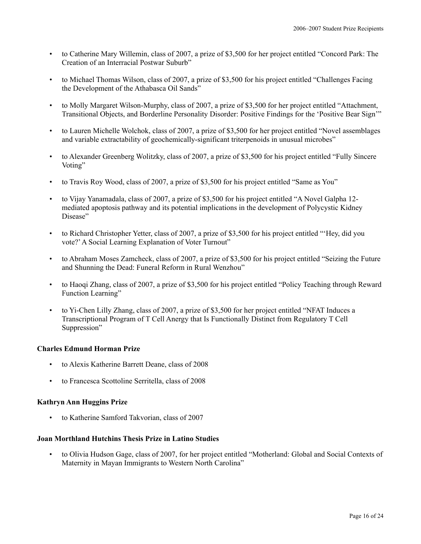- to Catherine Mary Willemin, class of 2007, a prize of \$3,500 for her project entitled "Concord Park: The Creation of an Interracial Postwar Suburb"
- to Michael Thomas Wilson, class of 2007, a prize of \$3,500 for his project entitled "Challenges Facing the Development of the Athabasca Oil Sands"
- to Molly Margaret Wilson-Murphy, class of 2007, a prize of \$3,500 for her project entitled "Attachment, Transitional Objects, and Borderline Personality Disorder: Positive Findings for the 'Positive Bear Sign'"
- to Lauren Michelle Wolchok, class of 2007, a prize of \$3,500 for her project entitled "Novel assemblages and variable extractability of geochemically-significant triterpenoids in unusual microbes"
- to Alexander Greenberg Wolitzky, class of 2007, a prize of \$3,500 for his project entitled "Fully Sincere Voting"
- to Travis Roy Wood, class of 2007, a prize of \$3,500 for his project entitled "Same as You"
- to Vijay Yanamadala, class of 2007, a prize of \$3,500 for his project entitled "A Novel Galpha 12 mediated apoptosis pathway and its potential implications in the development of Polycystic Kidney Disease"
- to Richard Christopher Yetter, class of 2007, a prize of \$3,500 for his project entitled "'Hey, did you vote?'A Social Learning Explanation of Voter Turnout"
- to Abraham Moses Zamcheck, class of 2007, a prize of \$3,500 for his project entitled "Seizing the Future and Shunning the Dead: Funeral Reform in Rural Wenzhou"
- to Haoqi Zhang, class of 2007, a prize of \$3,500 for his project entitled "Policy Teaching through Reward Function Learning"
- to Yi-Chen Lilly Zhang, class of 2007, a prize of \$3,500 for her project entitled "NFAT Induces a Transcriptional Program of T Cell Anergy that Is Functionally Distinct from Regulatory T Cell Suppression"

### **Charles Edmund Horman Prize**

- to Alexis Katherine Barrett Deane, class of 2008
- to Francesca Scottoline Serritella, class of 2008

### **Kathryn Ann Huggins Prize**

• to Katherine Samford Takvorian, class of 2007

### **Joan Morthland Hutchins Thesis Prize in Latino Studies**

• to Olivia Hudson Gage, class of 2007, for her project entitled "Motherland: Global and Social Contexts of Maternity in Mayan Immigrants to Western North Carolina"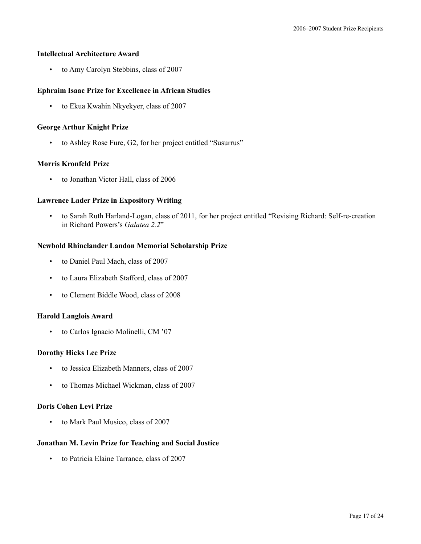### **Intellectual Architecture Award**

• to Amy Carolyn Stebbins, class of 2007

### **Ephraim Isaac Prize for Excellence in African Studies**

• to Ekua Kwahin Nkyekyer, class of 2007

#### **George Arthur Knight Prize**

• to Ashley Rose Fure, G2, for her project entitled "Susurrus"

#### **Morris Kronfeld Prize**

• to Jonathan Victor Hall, class of 2006

### **Lawrence Lader Prize in Expository Writing**

• to Sarah Ruth Harland-Logan, class of 2011, for her project entitled "Revising Richard: Self-re-creation in Richard Powers's *Galatea 2.2*"

### **Newbold Rhinelander Landon Memorial Scholarship Prize**

- to Daniel Paul Mach, class of 2007
- to Laura Elizabeth Stafford, class of 2007
- to Clement Biddle Wood, class of 2008

#### **Harold Langlois Award**

• to Carlos Ignacio Molinelli, CM '07

### **Dorothy Hicks Lee Prize**

- to Jessica Elizabeth Manners, class of 2007
- to Thomas Michael Wickman, class of 2007

### **Doris Cohen Levi Prize**

• to Mark Paul Musico, class of 2007

### **Jonathan M. Levin Prize for Teaching and Social Justice**

• to Patricia Elaine Tarrance, class of 2007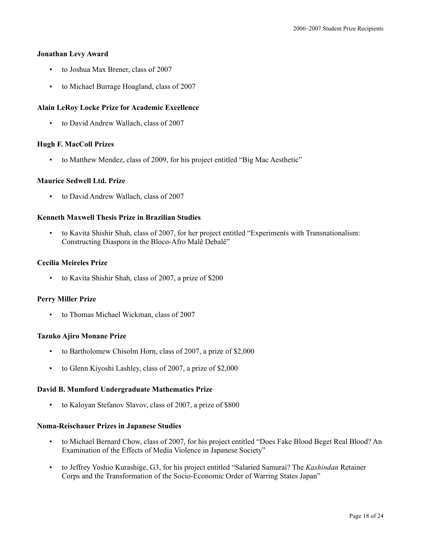#### **Jonathan Levy Award**

- to Joshua Max Brener, class of 2007
- to Michael Burrage Hoagland, class of 2007

### **Alain LeRoy Locke Prize for Academic Excellence**

• to David Andrew Wallach, class of 2007

### **Hugh F. MacColl Prizes**

• to Matthew Mendez, class of 2009, for his project entitled "Big Mac Aesthetic"

### **Maurice Sedwell Ltd. Prize**

• to David Andrew Wallach, class of 2007

### **Kenneth Maxwell Thesis Prize in Brazilian Studies**

• to Kavita Shishir Shah, class of 2007, for her project entitled "Experiments with Transnationalism: Constructing Diaspora in the Bloco-Afro Malê Debalê"

### **Cecília Meireles Prize**

• to Kavita Shishir Shah, class of 2007, a prize of \$200

#### **Perry Miller Prize**

• to Thomas Michael Wickman, class of 2007

### **Tazuko Ajiro Monane Prize**

- to Bartholomew Chisolm Horn, class of 2007, a prize of \$2,000
- to Glenn Kiyoshi Lashley, class of 2007, a prize of \$2,000

#### **David B. Mumford Undergraduate Mathematics Prize**

• to Kaloyan Stefanov Slavov, class of 2007, a prize of \$800

#### **Noma-Reischauer Prizes in Japanese Studies**

- to Michael Bernard Chow, class of 2007, for his project entitled "Does Fake Blood Beget Real Blood? An Examination of the Effects of Media Violence in Japanese Society"
- to Jeffrey Yoshio Kurashige, G3, for his project entitled "Salaried Samurai? The *Kashindan* Retainer Corps and the Transformation of the Socio-Economic Order of Warring States Japan"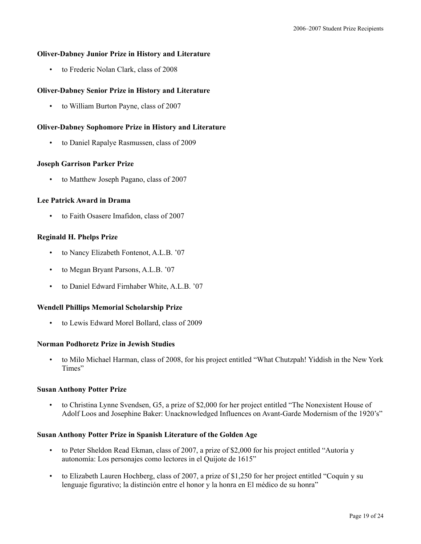### **Oliver-Dabney Junior Prize in History and Literature**

• to Frederic Nolan Clark, class of 2008

### **Oliver-Dabney Senior Prize in History and Literature**

• to William Burton Payne, class of 2007

#### **Oliver-Dabney Sophomore Prize in History and Literature**

• to Daniel Rapalye Rasmussen, class of 2009

#### **Joseph Garrison Parker Prize**

• to Matthew Joseph Pagano, class of 2007

### **Lee Patrick Award in Drama**

• to Faith Osasere Imafidon, class of 2007

### **Reginald H. Phelps Prize**

- to Nancy Elizabeth Fontenot, A.L.B. '07
- to Megan Bryant Parsons, A.L.B. '07
- to Daniel Edward Firnhaber White, A.L.B. '07

#### **Wendell Phillips Memorial Scholarship Prize**

• to Lewis Edward Morel Bollard, class of 2009

#### **Norman Podhoretz Prize in Jewish Studies**

• to Milo Michael Harman, class of 2008, for his project entitled "What Chutzpah! Yiddish in the New York Times"

#### **Susan Anthony Potter Prize**

• to Christina Lynne Svendsen, G5, a prize of \$2,000 for her project entitled "The Nonexistent House of Adolf Loos and Josephine Baker: Unacknowledged Influences on Avant-Garde Modernism of the 1920's"

#### **Susan Anthony Potter Prize in Spanish Literature of the Golden Age**

- to Peter Sheldon Read Ekman, class of 2007, a prize of \$2,000 for his project entitled "Autoría y autonomía: Los personajes como lectores in el Quijote de 1615"
- to Elizabeth Lauren Hochberg, class of 2007, a prize of \$1,250 for her project entitled "Coquín y su lenguaje figurativo; la distinción entre el honor y la honra en El médico de su honra"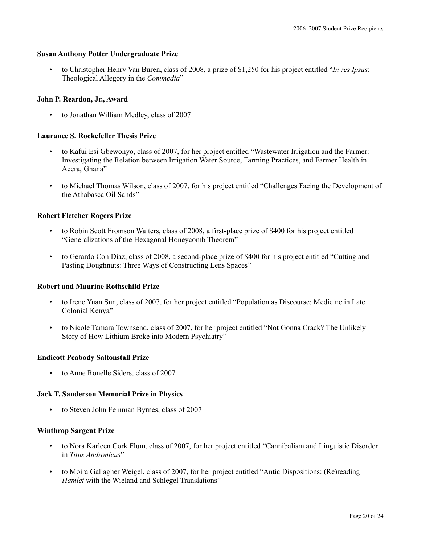### **Susan Anthony Potter Undergraduate Prize**

• to Christopher Henry Van Buren, class of 2008, a prize of \$1,250 for his project entitled "*In res Ipsas*: Theological Allegory in the *Commedia*"

### **John P. Reardon, Jr., Award**

• to Jonathan William Medley, class of 2007

### **Laurance S. Rockefeller Thesis Prize**

- to Kafui Esi Gbewonyo, class of 2007, for her project entitled "Wastewater Irrigation and the Farmer: Investigating the Relation between Irrigation Water Source, Farming Practices, and Farmer Health in Accra, Ghana"
- to Michael Thomas Wilson, class of 2007, for his project entitled "Challenges Facing the Development of the Athabasca Oil Sands"

### **Robert Fletcher Rogers Prize**

- to Robin Scott Fromson Walters, class of 2008, a first-place prize of \$400 for his project entitled "Generalizations of the Hexagonal Honeycomb Theorem"
- to Gerardo Con Diaz, class of 2008, a second-place prize of \$400 for his project entitled "Cutting and Pasting Doughnuts: Three Ways of Constructing Lens Spaces"

#### **Robert and Maurine Rothschild Prize**

- to Irene Yuan Sun, class of 2007, for her project entitled "Population as Discourse: Medicine in Late Colonial Kenya"
- to Nicole Tamara Townsend, class of 2007, for her project entitled "Not Gonna Crack? The Unlikely Story of How Lithium Broke into Modern Psychiatry"

#### **Endicott Peabody Saltonstall Prize**

• to Anne Ronelle Siders, class of 2007

#### **Jack T. Sanderson Memorial Prize in Physics**

• to Steven John Feinman Byrnes, class of 2007

#### **Winthrop Sargent Prize**

- to Nora Karleen Cork Flum, class of 2007, for her project entitled "Cannibalism and Linguistic Disorder in *Titus Andronicus*"
- to Moira Gallagher Weigel, class of 2007, for her project entitled "Antic Dispositions: (Re)reading *Hamlet* with the Wieland and Schlegel Translations"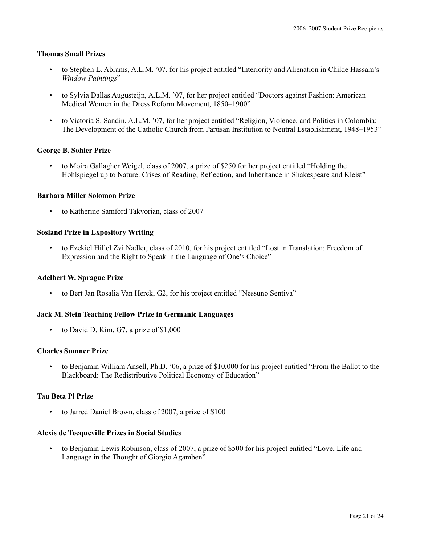### **Thomas Small Prizes**

- to Stephen L. Abrams, A.L.M. '07, for his project entitled "Interiority and Alienation in Childe Hassam's *Window Paintings*"
- to Sylvia Dallas Augusteijn, A.L.M. '07, for her project entitled "Doctors against Fashion: American Medical Women in the Dress Reform Movement, 1850–1900"
- to Victoria S. Sandin, A.L.M. '07, for her project entitled "Religion, Violence, and Politics in Colombia: The Development of the Catholic Church from Partisan Institution to Neutral Establishment, 1948–1953"

### **George B. Sohier Prize**

• to Moira Gallagher Weigel, class of 2007, a prize of \$250 for her project entitled "Holding the Hohlspiegel up to Nature: Crises of Reading, Reflection, and Inheritance in Shakespeare and Kleist"

### **Barbara Miller Solomon Prize**

• to Katherine Samford Takvorian, class of 2007

### **Sosland Prize in Expository Writing**

• to Ezekiel Hillel Zvi Nadler, class of 2010, for his project entitled "Lost in Translation: Freedom of Expression and the Right to Speak in the Language of One's Choice"

#### **Adelbert W. Sprague Prize**

• to Bert Jan Rosalia Van Herck, G2, for his project entitled "Nessuno Sentiva"

#### **Jack M. Stein Teaching Fellow Prize in Germanic Languages**

• to David D. Kim, G7, a prize of \$1,000

### **Charles Sumner Prize**

• to Benjamin William Ansell, Ph.D. '06, a prize of \$10,000 for his project entitled "From the Ballot to the Blackboard: The Redistributive Political Economy of Education"

### **Tau Beta Pi Prize**

to Jarred Daniel Brown, class of 2007, a prize of \$100

#### **Alexis de Tocqueville Prizes in Social Studies**

• to Benjamin Lewis Robinson, class of 2007, a prize of \$500 for his project entitled "Love, Life and Language in the Thought of Giorgio Agamben"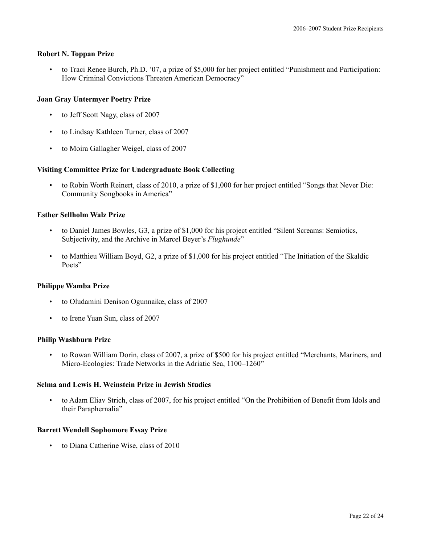### **Robert N. Toppan Prize**

• to Traci Renee Burch, Ph.D. '07, a prize of \$5,000 for her project entitled "Punishment and Participation: How Criminal Convictions Threaten American Democracy"

### **Joan Gray Untermyer Poetry Prize**

- to Jeff Scott Nagy, class of 2007
- to Lindsay Kathleen Turner, class of 2007
- to Moira Gallagher Weigel, class of 2007

### **Visiting Committee Prize for Undergraduate Book Collecting**

• to Robin Worth Reinert, class of 2010, a prize of \$1,000 for her project entitled "Songs that Never Die: Community Songbooks in America"

### **Esther Sellholm Walz Prize**

- to Daniel James Bowles, G3, a prize of \$1,000 for his project entitled "Silent Screams: Semiotics, Subjectivity, and the Archive in Marcel Beyer's *Flughunde*"
- to Matthieu William Boyd, G2, a prize of \$1,000 for his project entitled "The Initiation of the Skaldic Poets"

### **Philippe Wamba Prize**

- to Oludamini Denison Ogunnaike, class of 2007
- to Irene Yuan Sun, class of 2007

### **Philip Washburn Prize**

• to Rowan William Dorin, class of 2007, a prize of \$500 for his project entitled "Merchants, Mariners, and Micro-Ecologies: Trade Networks in the Adriatic Sea, 1100–1260"

### **Selma and Lewis H. Weinstein Prize in Jewish Studies**

• to Adam Eliav Strich, class of 2007, for his project entitled "On the Prohibition of Benefit from Idols and their Paraphernalia"

### **Barrett Wendell Sophomore Essay Prize**

• to Diana Catherine Wise, class of 2010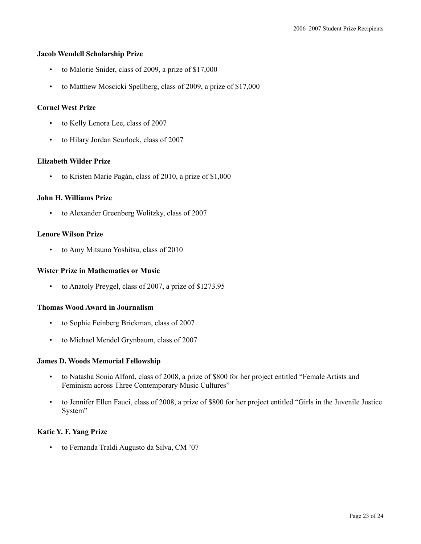#### **Jacob Wendell Scholarship Prize**

- to Malorie Snider, class of 2009, a prize of \$17,000
- to Matthew Moscicki Spellberg, class of 2009, a prize of \$17,000

### **Cornel West Prize**

- to Kelly Lenora Lee, class of 2007
- to Hilary Jordan Scurlock, class of 2007

#### **Elizabeth Wilder Prize**

to Kristen Marie Pagán, class of 2010, a prize of \$1,000

### **John H. Williams Prize**

• to Alexander Greenberg Wolitzky, class of 2007

### **Lenore Wilson Prize**

• to Amy Mitsuno Yoshitsu, class of 2010

#### **Wister Prize in Mathematics or Music**

• to Anatoly Preygel, class of 2007, a prize of \$1273.95

### **Thomas Wood Award in Journalism**

- to Sophie Feinberg Brickman, class of 2007
- to Michael Mendel Grynbaum, class of 2007

#### **James D. Woods Memorial Fellowship**

- to Natasha Sonia Alford, class of 2008, a prize of \$800 for her project entitled "Female Artists and Feminism across Three Contemporary Music Cultures"
- to Jennifer Ellen Fauci, class of 2008, a prize of \$800 for her project entitled "Girls in the Juvenile Justice System"

### **Katie Y. F. Yang Prize**

• to Fernanda Traldi Augusto da Silva, CM '07